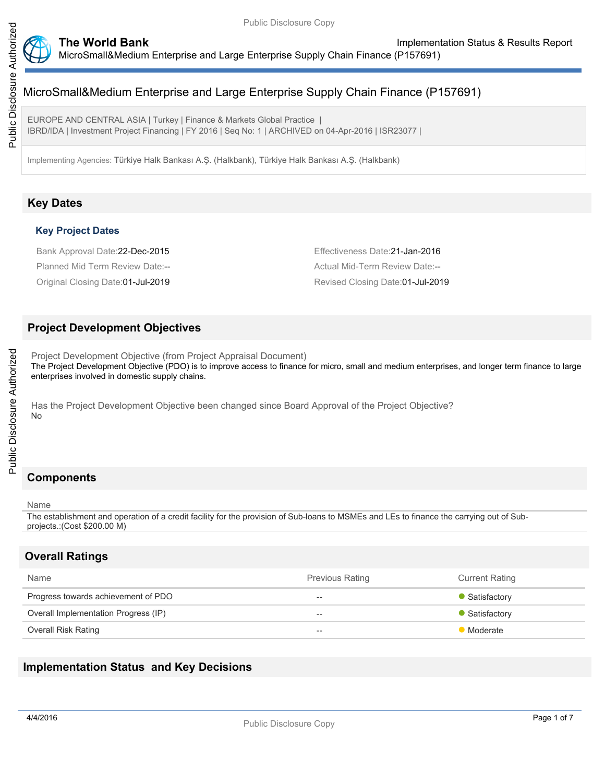

EUROPE AND CENTRAL ASIA | Turkey | Finance & Markets Global Practice | IBRD/IDA | Investment Project Financing | FY 2016 | Seq No: 1 | ARCHIVED on 04-Apr-2016 | ISR23077 |

Implementing Agencies: Türkiye Halk Bankası A.Ş. (Halkbank), Türkiye Halk Bankası A.Ş. (Halkbank)

## **Key Dates**

## **Key Project Dates**

Bank Approval Date:22-Dec-2015 Effectiveness Date:21-Jan-2016 Planned Mid Term Review Date:-- <br>
Actual Mid-Term Review Date:--

Original Closing Date:01-Jul-2019 Revised Closing Date:01-Jul-2019

## **Project Development Objectives**

Project Development Objective (from Project Appraisal Document) The Project Development Objective (PDO) is to improve access to finance for micro, small and medium enterprises, and longer term finance to large enterprises involved in domestic supply chains.

Has the Project Development Objective been changed since Board Approval of the Project Objective? No

# **Components**

#### Name

The establishment and operation of a credit facility for the provision of Sub-loans to MSMEs and LEs to finance the carrying out of Subprojects.:(Cost \$200.00 M)

## **Overall Ratings**

| Name                                 | <b>Previous Rating</b>   | <b>Current Rating</b> |
|--------------------------------------|--------------------------|-----------------------|
| Progress towards achievement of PDO  | $-$                      | • Satisfactory        |
| Overall Implementation Progress (IP) | $\overline{\phantom{a}}$ | • Satisfactory        |
| <b>Overall Risk Rating</b>           | $\overline{\phantom{a}}$ | Moderate              |

## **Implementation Status and Key Decisions**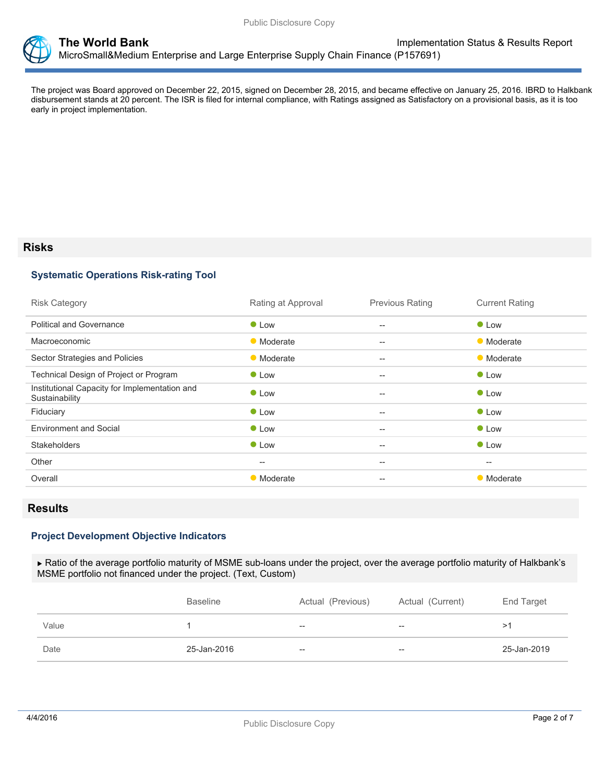

The project was Board approved on December 22, 2015, signed on December 28, 2015, and became effective on January 25, 2016. IBRD to Halkbank disbursement stands at 20 percent. The ISR is filed for internal compliance, with Ratings assigned as Satisfactory on a provisional basis, as it is too early in project implementation.

## **Risks**

### **Systematic Operations Risk-rating Tool**

| <b>Risk Category</b>                                            | Rating at Approval | <b>Previous Rating</b>                              | <b>Current Rating</b> |
|-----------------------------------------------------------------|--------------------|-----------------------------------------------------|-----------------------|
| <b>Political and Governance</b>                                 | $\bullet$ Low      | $\hspace{0.05cm} -\hspace{0.05cm} -\hspace{0.05cm}$ | $\bullet$ Low         |
| Macroeconomic                                                   | • Moderate         | $\overline{\phantom{m}}$                            | • Moderate            |
| Sector Strategies and Policies                                  | • Moderate         | $--$                                                | • Moderate            |
| Technical Design of Project or Program                          | $\bullet$ Low      | $\hspace{0.05cm} -\hspace{0.05cm} -\hspace{0.05cm}$ | • Low                 |
| Institutional Capacity for Implementation and<br>Sustainability | <b>C</b> Low       | $\hspace{0.05cm} -\hspace{0.05cm} -\hspace{0.05cm}$ | • Low                 |
| Fiduciary                                                       | • Low              | $\overline{\phantom{a}}$                            | • Low                 |
| <b>Environment and Social</b>                                   | $\bullet$ Low      | $\overline{\phantom{m}}$                            | • Low                 |
| <b>Stakeholders</b>                                             | $\bullet$ Low      | $\hspace{0.05cm} -\hspace{0.05cm} -\hspace{0.05cm}$ | <b>C</b> Low          |
| Other                                                           | --                 | $\hspace{0.05cm} -\hspace{0.05cm} -\hspace{0.05cm}$ | $\hspace{0.05cm}$     |
| Overall                                                         | • Moderate         | $\hspace{0.05cm} -\hspace{0.05cm} -\hspace{0.05cm}$ | • Moderate            |

## **Results**

### **Project Development Objective Indicators**

 Ratio of the average portfolio maturity of MSME sub-loans under the project, over the average portfolio maturity of Halkbank's MSME portfolio not financed under the project. (Text, Custom)

|       | <b>Baseline</b> | Actual (Previous) | Actual (Current)                                    | End Target  |
|-------|-----------------|-------------------|-----------------------------------------------------|-------------|
| Value |                 | $- -$             | $\hspace{0.05cm} -\hspace{0.05cm} -\hspace{0.05cm}$ | >1          |
| Date  | 25-Jan-2016     | $- -$             | $- -$                                               | 25-Jan-2019 |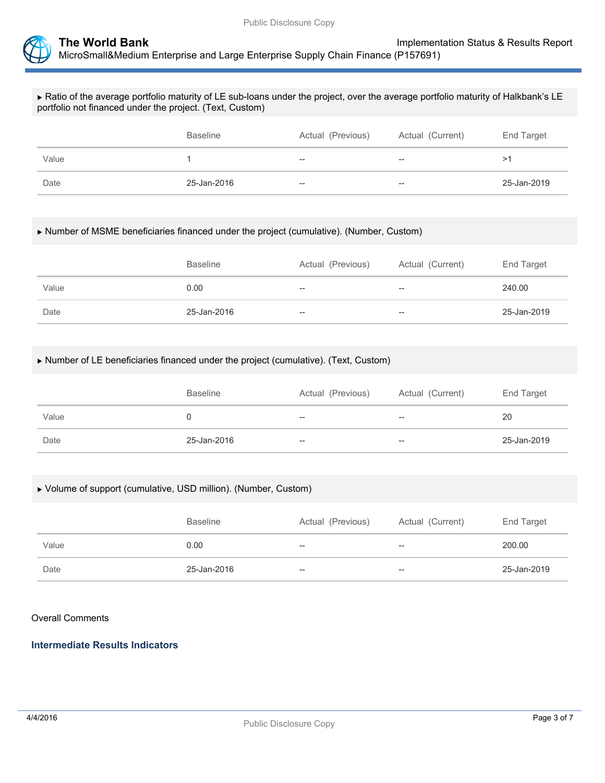

### Ratio of the average portfolio maturity of LE sub-loans under the project, over the average portfolio maturity of Halkbank's LE portfolio not financed under the project. (Text, Custom)

|       | <b>Baseline</b> | Actual (Previous) | Actual (Current) | End Target  |
|-------|-----------------|-------------------|------------------|-------------|
| Value |                 | $- -$             | $- -$            | >1          |
| Date  | 25-Jan-2016     | $- -$             | $- -$            | 25-Jan-2019 |

### Number of MSME beneficiaries financed under the project (cumulative). (Number, Custom)

|       | <b>Baseline</b> | Actual (Previous) | Actual (Current)  | End Target  |
|-------|-----------------|-------------------|-------------------|-------------|
| Value | 0.00            | $- -$             | $-$               | 240.00      |
| Date  | 25-Jan-2016     | $- -$             | $\hspace{0.05cm}$ | 25-Jan-2019 |

### Number of LE beneficiaries financed under the project (cumulative). (Text, Custom)

|       | <b>Baseline</b> | Actual (Previous) | Actual (Current)         | End Target  |
|-------|-----------------|-------------------|--------------------------|-------------|
| Value |                 | $- -$             | $\overline{\phantom{a}}$ | 20          |
| Date  | 25-Jan-2016     | $- -$             | $- -$                    | 25-Jan-2019 |

### Volume of support (cumulative, USD million). (Number, Custom)

|       | <b>Baseline</b> | Actual (Previous) | Actual (Current) | End Target  |
|-------|-----------------|-------------------|------------------|-------------|
| Value | 0.00            | $- -$             | $- -$            | 200.00      |
| Date  | 25-Jan-2016     | $-$               | --               | 25-Jan-2019 |

### Overall Comments

## **Intermediate Results Indicators**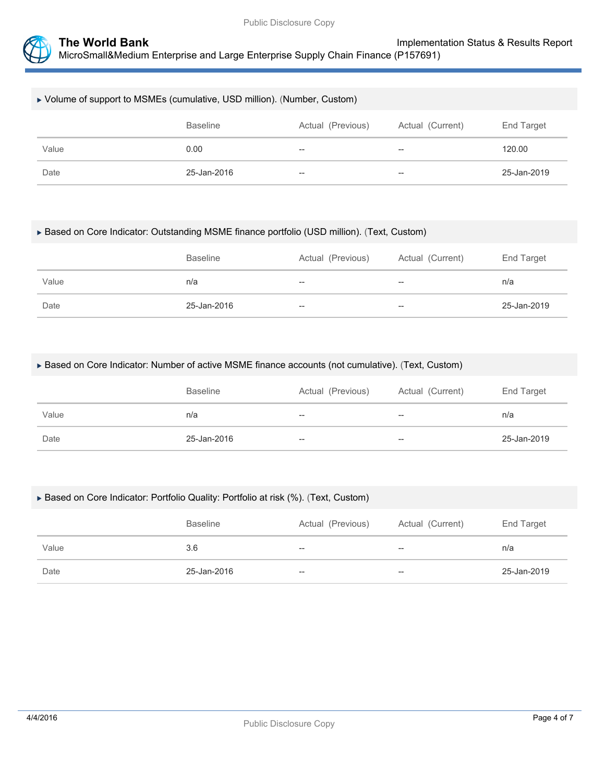

## Volume of support to MSMEs (cumulative, USD million). (Number, Custom)

|       | Baseline    | Actual (Previous)                     | Actual (Current) | End Target  |
|-------|-------------|---------------------------------------|------------------|-------------|
| Value | 0.00        | $\hspace{0.05cm}$ – $\hspace{0.05cm}$ | $- -$            | 120.00      |
| Date  | 25-Jan-2016 | $\overline{\phantom{a}}$              | $- -$            | 25-Jan-2019 |

### Based on Core Indicator: Outstanding MSME finance portfolio (USD million). (Text, Custom)

|       | <b>Baseline</b> | Actual (Previous) | Actual (Current) | End Target  |
|-------|-----------------|-------------------|------------------|-------------|
| Value | n/a             | $-$               | $- -$            | n/a         |
| Date  | 25-Jan-2016     | $-$               | $- -$            | 25-Jan-2019 |

#### Based on Core Indicator: Number of active MSME finance accounts (not cumulative). (Text, Custom)

|       | <b>Baseline</b> | Actual (Previous) | Actual (Current) | End Target  |
|-------|-----------------|-------------------|------------------|-------------|
| Value | n/a             | $-$               | $-$              | n/a         |
| Date  | 25-Jan-2016     | $-$               | $-$              | 25-Jan-2019 |

### ▶ Based on Core Indicator: Portfolio Quality: Portfolio at risk (%). (Text, Custom)

|       | <b>Baseline</b> | Actual (Previous)                  | Actual (Current) | End Target  |
|-------|-----------------|------------------------------------|------------------|-------------|
| Value | 3.6             | --                                 | $- -$            | n/a         |
| Date  | 25-Jan-2016     | $\hspace{0.05cm} -\hspace{0.05cm}$ | $- -$            | 25-Jan-2019 |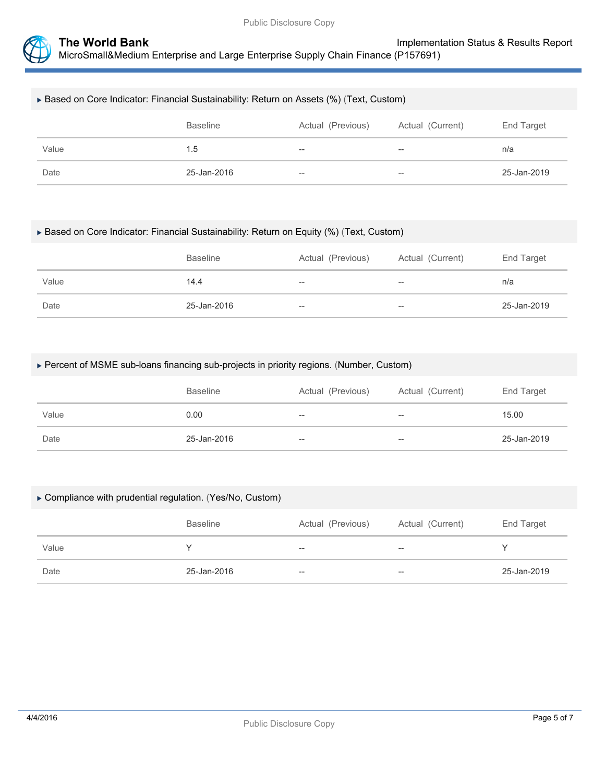

## Based on Core Indicator: Financial Sustainability: Return on Assets (%) (Text, Custom)

|       | Baseline    | Actual (Previous) | Actual (Current) | End Target  |
|-------|-------------|-------------------|------------------|-------------|
| Value | 1.5         | $\hspace{0.05cm}$ | $- -$            | n/a         |
| Date  | 25-Jan-2016 | $- -$             | $- -$            | 25-Jan-2019 |

#### Based on Core Indicator: Financial Sustainability: Return on Equity (%) (Text, Custom)

|       | <b>Baseline</b> | Actual (Previous) | Actual (Current)                      | End Target  |
|-------|-----------------|-------------------|---------------------------------------|-------------|
| Value | 14.4            | $\hspace{0.05cm}$ | $\hspace{0.05cm}$ – $\hspace{0.05cm}$ | n/a         |
| Date  | 25-Jan-2016     | $-$               | --                                    | 25-Jan-2019 |

### Percent of MSME sub-loans financing sub-projects in priority regions. (Number, Custom)

|       | <b>Baseline</b> | Actual (Previous) | Actual (Current) | End Target  |
|-------|-----------------|-------------------|------------------|-------------|
| Value | 0.00            | $- -$             | $- -$            | 15.00       |
| Date  | 25-Jan-2016     | $- -$             | $- -$            | 25-Jan-2019 |

#### Compliance with prudential regulation. (Yes/No, Custom)

|       | <b>Baseline</b> | Actual (Previous) | Actual (Current)         | End Target  |
|-------|-----------------|-------------------|--------------------------|-------------|
| Value |                 | $- -$             | $\overline{\phantom{m}}$ |             |
| Date  | 25-Jan-2016     | $- -$             | $- -$                    | 25-Jan-2019 |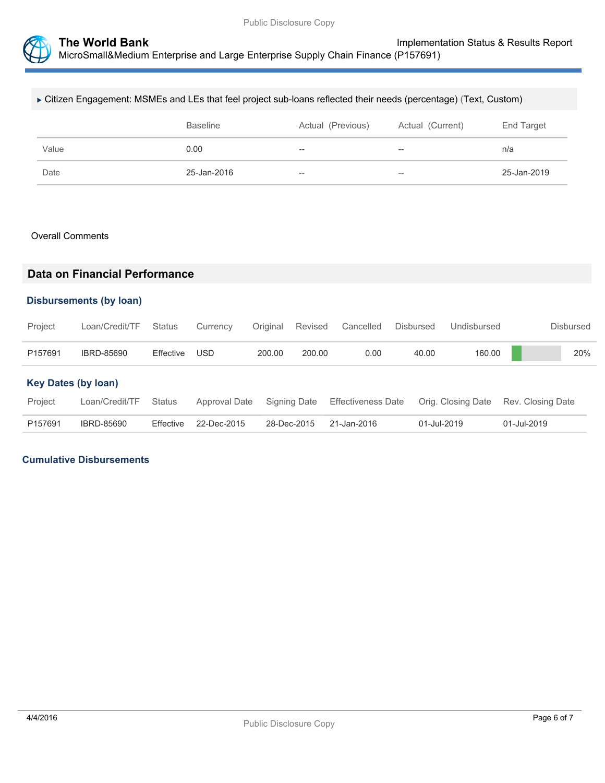

| ► Citizen Engagement: MSMEs and LEs that feel project sub-loans reflected their needs (percentage) (Text, Custom) |                 |                   |                  |            |  |  |  |
|-------------------------------------------------------------------------------------------------------------------|-----------------|-------------------|------------------|------------|--|--|--|
|                                                                                                                   | <b>Baseline</b> | Actual (Previous) | Actual (Current) | End Target |  |  |  |
| Value                                                                                                             | 0.00            | $- -$             | $- -$            | n/a        |  |  |  |
|                                                                                                                   |                 |                   |                  |            |  |  |  |

### Overall Comments

## **Data on Financial Performance**

## **Disbursements (by loan)**

| Project                    | Loan/Credit/TF    | Status        | Currency      | Original | Revised      | Cancelled                 | <b>Disbursed</b> | Undisbursed        |                   | Disbursed |
|----------------------------|-------------------|---------------|---------------|----------|--------------|---------------------------|------------------|--------------------|-------------------|-----------|
| P157691                    | <b>IBRD-85690</b> | Effective     | <b>USD</b>    | 200.00   | 200.00       | 0.00                      | 40.00            | 160.00             |                   | 20%       |
| <b>Key Dates (by loan)</b> |                   |               |               |          |              |                           |                  |                    |                   |           |
| Project                    | Loan/Credit/TF    | <b>Status</b> | Approval Date |          | Signing Date | <b>Effectiveness Date</b> |                  | Orig. Closing Date | Rev. Closing Date |           |
| P157691                    | IBRD-85690        | Effective     | 22-Dec-2015   |          | 28-Dec-2015  | 21-Jan-2016               | 01-Jul-2019      |                    | 01-Jul-2019       |           |

## **Cumulative Disbursements**